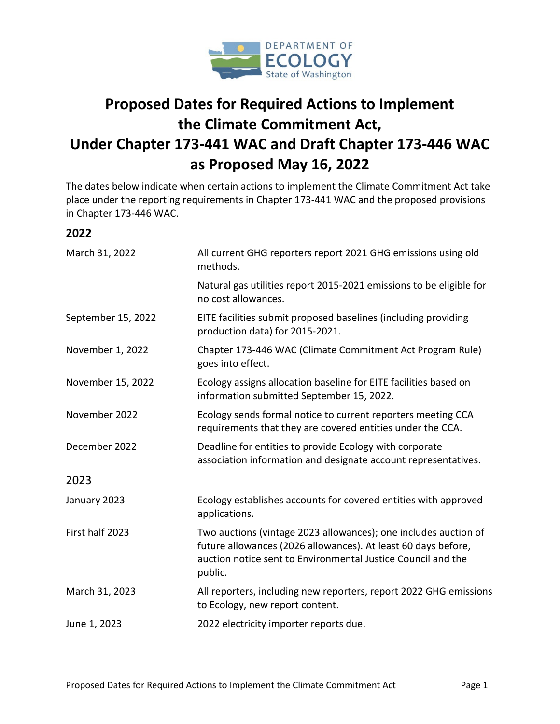

## **Proposed Dates for Required Actions to Implement the Climate Commitment Act, Under Chapter 173-441 WAC and Draft Chapter 173-446 WAC as Proposed May 16, 2022**

The dates below indicate when certain actions to implement the Climate Commitment Act take place under the reporting requirements in Chapter 173-441 WAC and the proposed provisions in Chapter 173-446 WAC.

## **2022**

| March 31, 2022     | All current GHG reporters report 2021 GHG emissions using old<br>methods.                                                                                                                                   |
|--------------------|-------------------------------------------------------------------------------------------------------------------------------------------------------------------------------------------------------------|
|                    | Natural gas utilities report 2015-2021 emissions to be eligible for<br>no cost allowances.                                                                                                                  |
| September 15, 2022 | EITE facilities submit proposed baselines (including providing<br>production data) for 2015-2021.                                                                                                           |
| November 1, 2022   | Chapter 173-446 WAC (Climate Commitment Act Program Rule)<br>goes into effect.                                                                                                                              |
| November 15, 2022  | Ecology assigns allocation baseline for EITE facilities based on<br>information submitted September 15, 2022.                                                                                               |
| November 2022      | Ecology sends formal notice to current reporters meeting CCA<br>requirements that they are covered entities under the CCA.                                                                                  |
| December 2022      | Deadline for entities to provide Ecology with corporate<br>association information and designate account representatives.                                                                                   |
| 2023               |                                                                                                                                                                                                             |
| January 2023       | Ecology establishes accounts for covered entities with approved<br>applications.                                                                                                                            |
| First half 2023    | Two auctions (vintage 2023 allowances); one includes auction of<br>future allowances (2026 allowances). At least 60 days before,<br>auction notice sent to Environmental Justice Council and the<br>public. |
| March 31, 2023     | All reporters, including new reporters, report 2022 GHG emissions<br>to Ecology, new report content.                                                                                                        |
| June 1, 2023       | 2022 electricity importer reports due.                                                                                                                                                                      |